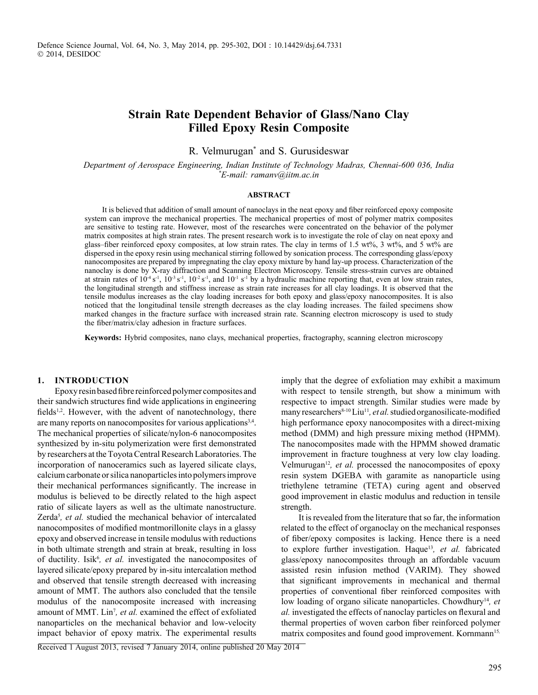# **Strain Rate Dependent Behavior of Glass/Nano Clay Filled Epoxy Resin Composite**

R. Velmurugan\* and S. Gurusideswar

*Department of Aerospace Engineering, Indian Institute of Technology Madras, Chennai-600 036, India \* E-mail: ramanv@iitm.ac.in*

### **ABSTRACT**

It is believed that addition of small amount of nanoclays in the neat epoxy and fiber reinforced epoxy composite system can improve the mechanical properties. The mechanical properties of most of polymer matrix composites are sensitive to testing rate. However, most of the researches were concentrated on the behavior of the polymer matrix composites at high strain rates. The present research work is to investigate the role of clay on neat epoxy and glass–fiber reinforced epoxy composites, at low strain rates. The clay in terms of 1.5 wt%, 3 wt%, and 5 wt% are dispersed in the epoxy resin using mechanical stirring followed by sonication process. The corresponding glass/epoxy nanocomposites are prepared by impregnating the clay epoxy mixture by hand lay-up process. Characterization of the nanoclay is done by X-ray diffraction and Scanning Electron Microscopy. Tensile stress-strain curves are obtained at strain rates of  $10^{-4} s^{-1}$ ,  $10^{-3} s^{-1}$ ,  $10^{-2} s^{-1}$ , and  $10^{-1} s^{-1}$  by a hydraulic machine reporting that, even at low strain rates, the longitudinal strength and stiffness increase as strain rate increases for all clay loadings. It is observed that the tensile modulus increases as the clay loading increases for both epoxy and glass/epoxy nanocomposites. It is also noticed that the longitudinal tensile strength decreases as the clay loading increases. The failed specimens show marked changes in the fracture surface with increased strain rate. Scanning electron microscopy is used to study the fiber/matrix/clay adhesion in fracture surfaces.

**Keywords:** Hybrid composites, nano clays, mechanical properties, fractography, scanning electron microscopy

### **1. Introduction**

Epoxy resin based fibre reinforced polymer composites and their sandwich structures find wide applications in engineering fields<sup>1,2</sup>. However, with the advent of nanotechnology, there are many reports on nanocomposites for various applications<sup>3,4</sup>. The mechanical properties of silicate/nylon-6 nanocomposites synthesized by in-situ polymerization were first demonstrated by researchers at the Toyota Central Research Laboratories. The incorporation of nanoceramics such as layered silicate clays, calcium carbonate or silica nanoparticles into polymers improve their mechanical performances significantly. The increase in modulus is believed to be directly related to the high aspect ratio of silicate layers as well as the ultimate nanostructure. Zerda<sup>5</sup>, et al. studied the mechanical behavior of intercalated nanocomposites of modified montmorillonite clays in a glassy epoxy and observed increase in tensile modulus with reductions in both ultimate strength and strain at break, resulting in loss of ductility. Isik<sup>6</sup>, et al. investigated the nanocomposites of layered silicate/epoxy prepared by in-situ intercalation method and observed that tensile strength decreased with increasing amount of MMT. The authors also concluded that the tensile modulus of the nanocomposite increased with increasing amount of MMT. Lin<sup>7</sup>, et al. examined the effect of exfoliated nanoparticles on the mechanical behavior and low-velocity impact behavior of epoxy matrix. The experimental results

imply that the degree of exfoliation may exhibit a maximum with respect to tensile strength, but show a minimum with respective to impact strength. Similar studies were made by many researchers<sup>8-10</sup> Liu<sup>11</sup>, et al. studied organosilicate-modified high performance epoxy nanocomposites with a direct-mixing method (DMM) and high pressure mixing method (HPMM). The nanocomposites made with the HPMM showed dramatic improvement in fracture toughness at very low clay loading. Velmurugan<sup>12</sup>, et al. processed the nanocomposites of epoxy resin system DGEBA with garamite as nanoparticle using triethylene tetramine (TETA) curing agent and observed good improvement in elastic modulus and reduction in tensile strength.

It is revealed from the literature that so far, the information related to the effect of organoclay on the mechanical responses of fiber/epoxy composites is lacking. Hence there is a need to explore further investigation. Haque<sup>13</sup>, et al. fabricated glass/epoxy nanocomposites through an affordable vacuum assisted resin infusion method (VARIM). They showed that significant improvements in mechanical and thermal properties of conventional fiber reinforced composites with low loading of organo silicate nanoparticles. Chowdhury<sup>14</sup>, et *al.* investigated the effects of nanoclay particles on flexural and thermal properties of woven carbon fiber reinforced polymer matrix composites and found good improvement. Kornmann<sup>15,</sup>

Received 1 August 2013, revised 7 January 2014, online published 20 May 2014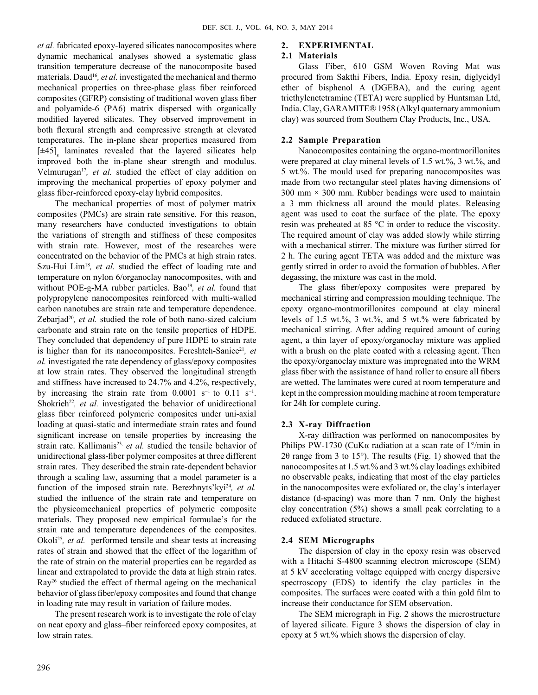*et al.* fabricated epoxy-layered silicates nanocomposites where dynamic mechanical analyses showed a systematic glass transition temperature decrease of the nanocomposite based materials. Daud<sup>16</sup>, et al. investigated the mechanical and thermo mechanical properties on three-phase glass fiber reinforced composites (GFRP) consisting of traditional woven glass fiber and polyamide-6 (PA6) matrix dispersed with organically modified layered silicates. They observed improvement in both flexural strength and compressive strength at elevated temperatures. The in-plane shear properties measured from  $[±45]$ <sub>s</sub> laminates revealed that the layered silicates help improved both the in-plane shear strength and modulus. Velmurugan<sup>17</sup>, et al. studied the effect of clay addition on improving the mechanical properties of epoxy polymer and glass fiber-reinforced epoxy-clay hybrid composites.

The mechanical properties of most of polymer matrix composites (PMCs) are strain rate sensitive. For this reason, many researchers have conducted investigations to obtain the variations of strength and stiffness of these composites with strain rate. However, most of the researches were concentrated on the behavior of the PMCs at high strain rates. Szu-Hui Lim<sup>18</sup>, et al. studied the effect of loading rate and temperature on nylon 6/organoclay nanocomposites, with and without POE-g-MA rubber particles. Bao<sup>19</sup>, et al. found that polypropylene nanocomposites reinforced with multi-walled carbon nanotubes are strain rate and temperature dependence. Zebarjad<sup>20</sup>, et al. studied the role of both nano-sized calcium carbonate and strain rate on the tensile properties of HDPE. They concluded that dependency of pure HDPE to strain rate is higher than for its nanocomposites. Fereshteh-Saniee<sup>21</sup>, et *al.* investigated the rate dependency of glass/epoxy composites at low strain rates. They observed the longitudinal strength and stiffness have increased to 24.7% and 4.2%, respectively, by increasing the strain rate from  $0.0001 \text{ s}^{-1}$  to  $0.11 \text{ s}^{-1}$ . Shokrieh<sup>22</sup>, et al. investigated the behavior of unidirectional glass fiber reinforced polymeric composites under uni-axial loading at quasi-static and intermediate strain rates and found significant increase on tensile properties by increasing the strain rate. Kallimanis<sup>23,</sup> et al. studied the tensile behavior of unidirectional glass-fiber polymer composites at three different strain rates. They described the strain rate-dependent behavior through a scaling law, assuming that a model parameter is a function of the imposed strain rate. Berezhnyts'kyi<sup>24</sup>, et al. studied the influence of the strain rate and temperature on the physicomechanical properties of polymeric composite materials. They proposed new empirical formulae's for the strain rate and temperature dependences of the composites. Okoli<sup>25</sup>, et al. performed tensile and shear tests at increasing rates of strain and showed that the effect of the logarithm of the rate of strain on the material properties can be regarded as linear and extrapolated to provide the data at high strain rates. Ray26 studied the effect of thermal ageing on the mechanical behavior of glass fiber/epoxy composites and found that change in loading rate may result in variation of failure modes.

The present research work is to investigate the role of clay on neat epoxy and glass–fiber reinforced epoxy composites, at low strain rates.

# **2. Experimental**

### **2.1 Materials**

Glass Fiber, 610 GSM Woven Roving Mat was procured from Sakthi Fibers, India. Epoxy resin, diglycidyl ether of bisphenol A (DGEBA), and the curing agent triethylenetetramine (TETA) were supplied by Huntsman Ltd, India. Clay, GARAMITE® 1958 (Alkyl quaternary ammonium clay) was sourced from Southern Clay Products, Inc., USA.

# **2.2 Sample Preparation**

Nanocomposites containing the organo-montmorillonites were prepared at clay mineral levels of 1.5 wt.%, 3 wt.%, and 5 wt.%. The mould used for preparing nanocomposites was made from two rectangular steel plates having dimensions of  $300$  mm  $\times$  300 mm. Rubber beadings were used to maintain a 3 mm thickness all around the mould plates. Releasing agent was used to coat the surface of the plate. The epoxy resin was preheated at 85 °C in order to reduce the viscosity. The required amount of clay was added slowly while stirring with a mechanical stirrer. The mixture was further stirred for 2 h. The curing agent TETA was added and the mixture was gently stirred in order to avoid the formation of bubbles. After degassing, the mixture was cast in the mold.

The glass fiber/epoxy composites were prepared by mechanical stirring and compression moulding technique. The epoxy organo-montmorillonites compound at clay mineral levels of 1.5 wt.%, 3 wt.%, and 5 wt.% were fabricated by mechanical stirring. After adding required amount of curing agent, a thin layer of epoxy/organoclay mixture was applied with a brush on the plate coated with a releasing agent. Then the epoxy/organoclay mixture was impregnated into the WRM glass fiber with the assistance of hand roller to ensure all fibers are wetted. The laminates were cured at room temperature and kept in the compression moulding machine at room temperature for 24h for complete curing.

# **2.3 X-ray Diffraction**

X-ray diffraction was performed on nanocomposites by Philips PW-1730 (CuK $\alpha$  radiation at a scan rate of 1°/min in 20 range from 3 to 15 $^{\circ}$ ). The results (Fig. 1) showed that the nanocomposites at 1.5 wt.% and 3 wt.% clay loadings exhibited no observable peaks, indicating that most of the clay particles in the nanocomposites were exfoliated or, the clay's interlayer distance (d-spacing) was more than 7 nm. Only the highest clay concentration (5%) shows a small peak correlating to a reduced exfoliated structure.

### **2.4 SEM Micrographs**

The dispersion of clay in the epoxy resin was observed with a Hitachi S-4800 scanning electron microscope (SEM) at 5 kV accelerating voltage equipped with energy dispersive spectroscopy (EDS) to identify the clay particles in the composites. The surfaces were coated with a thin gold film to increase their conductance for SEM observation.

The SEM micrograph in Fig. 2 shows the microstructure of layered silicate. Figure 3 shows the dispersion of clay in epoxy at 5 wt.% which shows the dispersion of clay.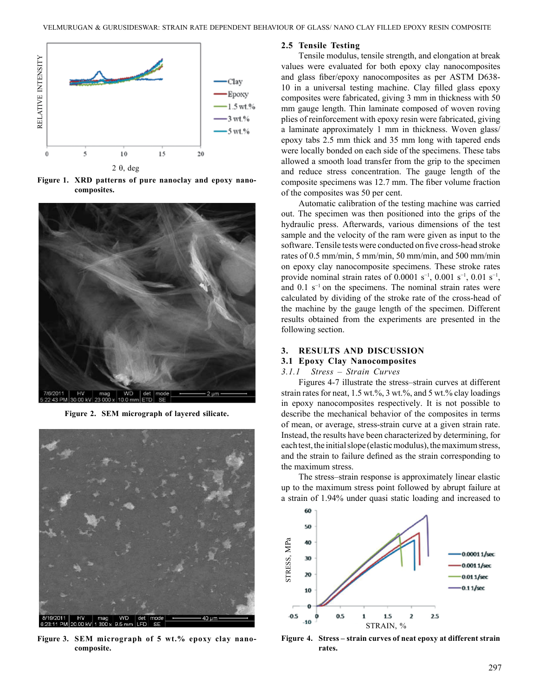

**Figure 1. XRD patterns of pure nanoclay and epoxy nanocomposites.**



**Figure 2. SEM micrograph of layered silicate.**



**Figure 3. SEM micrograph of 5 wt.% epoxy clay nanocomposite.**

### **2.5 Tensile Testing**

Tensile modulus, tensile strength, and elongation at break values were evaluated for both epoxy clay nanocomposites and glass fiber/epoxy nanocomposites as per ASTM D638- 10 in a universal testing machine. Clay filled glass epoxy composites were fabricated, giving 3 mm in thickness with 50 mm gauge length. Thin laminate composed of woven roving plies of reinforcement with epoxy resin were fabricated, giving a laminate approximately 1 mm in thickness. Woven glass/ epoxy tabs 2.5 mm thick and 35 mm long with tapered ends were locally bonded on each side of the specimens. These tabs allowed a smooth load transfer from the grip to the specimen and reduce stress concentration. The gauge length of the composite specimens was 12.7 mm. The fiber volume fraction of the composites was 50 per cent.

Automatic calibration of the testing machine was carried out. The specimen was then positioned into the grips of the hydraulic press. Afterwards, various dimensions of the test sample and the velocity of the ram were given as input to the software. Tensile tests were conducted on five cross-head stroke rates of 0.5 mm/min, 5 mm/min, 50 mm/min, and 500 mm/min on epoxy clay nanocomposite specimens. These stroke rates provide nominal strain rates of 0.0001 s<sup>-1</sup>, 0.001 s<sup>-1</sup>, 0.01 s<sup>-1</sup>, and  $0.1$  s<sup>-1</sup> on the specimens. The nominal strain rates were calculated by dividing of the stroke rate of the cross-head of the machine by the gauge length of the specimen. Different results obtained from the experiments are presented in the following section.

### **3. Results and Discussion**

# **3.1 Epoxy Clay Nanocomposites**

# *3.1.1 Stress – Strain Curves*

Figures 4-7 illustrate the stress–strain curves at different strain rates for neat,  $1.5$  wt.%,  $3$  wt.%, and  $5$  wt.% clay loadings in epoxy nanocomposites respectively. It is not possible to describe the mechanical behavior of the composites in terms of mean, or average, stress-strain curve at a given strain rate. Instead, the results have been characterized by determining, for each test, the initial slope (elastic modulus), the maximum stress, and the strain to failure defined as the strain corresponding to the maximum stress.

The stress–strain response is approximately linear elastic up to the maximum stress point followed by abrupt failure at a strain of 1.94% under quasi static loading and increased to



**Figure 4. Stress – strain curves of neat epoxy at different strain rates.**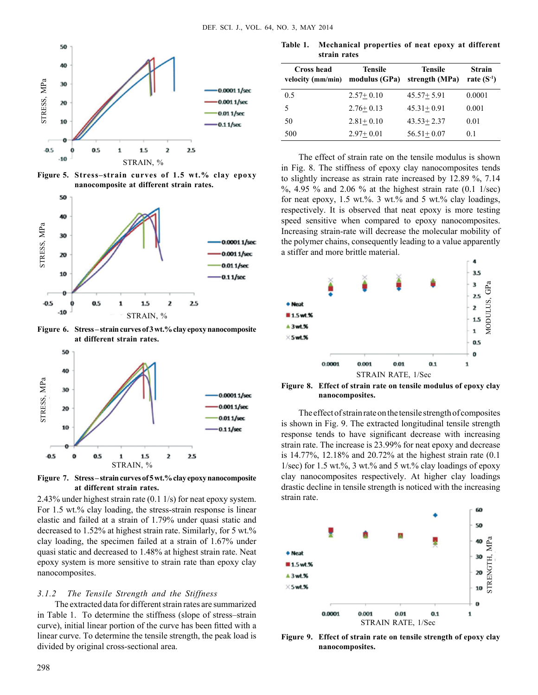

**Figure 5. Stress–strain curves of 1.5 wt.% clay epoxy nanocomposite at different strain rates.**



**Figure 6. Stress – strain curves of 3 wt.% clay epoxy nanocomposite at different strain rates.**



**Figure 7. Stress – strain curves of 5 wt.% clay epoxy nanocomposite at different strain rates.**

2.43% under highest strain rate (0.1 1/s) for neat epoxy system. For 1.5 wt.% clay loading, the stress-strain response is linear elastic and failed at a strain of 1.79% under quasi static and decreased to 1.52% at highest strain rate. Similarly, for 5 wt.% clay loading, the specimen failed at a strain of 1.67% under quasi static and decreased to 1.48% at highest strain rate. Neat epoxy system is more sensitive to strain rate than epoxy clay nanocomposites.

# *3.1.2 The Tensile Strength and the Stiffness*

The extracted data for different strain rates are summarized in Table 1. To determine the stiffness (slope of stress–strain curve), initial linear portion of the curve has been fitted with a linear curve. To determine the tensile strength, the peak load is divided by original cross-sectional area.

**Table 1. Mechanical properties of neat epoxy at different strain rates**

| Cross head<br>velocity (mm/min) | <b>Tensile</b><br>modulus (GPa) | <b>Tensile</b><br>strength (MPa) | <b>Strain</b><br>rate $(S^{-1})$ |
|---------------------------------|---------------------------------|----------------------------------|----------------------------------|
| 0.5                             | $2.57+0.10$                     | $45.57 + 5.91$                   | 0.0001                           |
| 5                               | $2.76 + 0.13$                   | $45.31 + 0.91$                   | 0.001                            |
| 50                              | $2.81 + 0.10$                   | $43.53 + 2.37$                   | 0.01                             |
| 500                             | $2.97+0.01$                     | $56.51 + 0.07$                   | 0.1                              |

The effect of strain rate on the tensile modulus is shown in Fig. 8. The stiffness of epoxy clay nanocomposites tends to slightly increase as strain rate increased by 12.89 %, 7.14 %, 4.95 % and 2.06 % at the highest strain rate (0.1 1/sec) for neat epoxy, 1.5 wt.%. 3 wt.% and 5 wt.% clay loadings, respectively. It is observed that neat epoxy is more testing speed sensitive when compared to epoxy nanocomposites. Increasing strain-rate will decrease the molecular mobility of the polymer chains, consequently leading to a value apparently a stiffer and more brittle material.



**Figure 8. Effect of strain rate on tensile modulus of epoxy clay nanocomposites.**

The effect of strain rate on the tensile strength of composites is shown in Fig. 9. The extracted longitudinal tensile strength response tends to have significant decrease with increasing strain rate. The increase is 23.99% for neat epoxy and decrease is 14.77%, 12.18% and 20.72% at the highest strain rate (0.1 1/sec) for 1.5 wt.%, 3 wt.% and 5 wt.% clay loadings of epoxy clay nanocomposites respectively. At higher clay loadings drastic decline in tensile strength is noticed with the increasing strain rate.



**Figure 9. Effect of strain rate on tensile strength of epoxy clay nanocomposites.**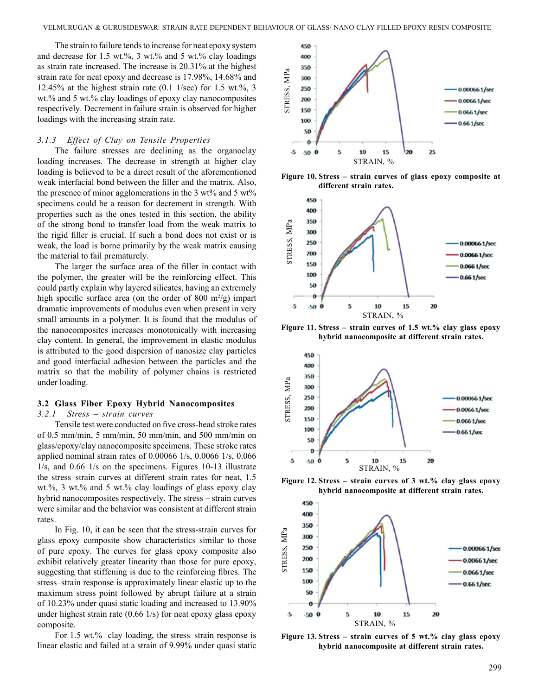The strain to failure tends to increase for neat epoxy system and decrease for 1.5 wt.%, 3 wt.% and 5 wt.% clay loadings as strain rate increased. The increase is 20.31% at the highest strain rate for neat epoxy and decrease is 17.98%, 14.68% and 12.45% at the highest strain rate  $(0.1 \frac{1}{sec})$  for 1.5 wt.%, 3 wt.% and 5 wt.% clay loadings of epoxy clay nanocomposites respectively. Decrement in failure strain is observed for higher loadings with the increasing strain rate.

#### *3.1.3 Effect of Clay on Tensile Properties*

The failure stresses are declining as the organoclay loading increases. The decrease in strength at higher clay loading is believed to be a direct result of the aforementioned weak interfacial bond between the filler and the matrix. Also, the presence of minor agglomerations in the 3 wt% and 5 wt% specimens could be a reason for decrement in strength. With properties such as the ones tested in this section, the ability of the strong bond to transfer load from the weak matrix to the rigid filler is crucial. If such a bond does not exist or is weak, the load is borne primarily by the weak matrix causing the material to fail prematurely.

The larger the surface area of the filler in contact with the polymer, the greater will be the reinforcing effect. This could partly explain why layered silicates, having an extremely high specific surface area (on the order of 800  $\mathrm{m}^2/\mathrm{g}$ ) impart dramatic improvements of modulus even when present in very small amounts in a polymer. It is found that the modulus of the nanocomposites increases monotonically with increasing clay content. In general, the improvement in elastic modulus is attributed to the good dispersion of nanosize clay particles and good interfacial adhesion between the particles and the matrix so that the mobility of polymer chains is restricted under loading.

### **3.2 Glass Fiber Epoxy Hybrid Nanocomposites**

### *3.2.1 Stress – strain curves*

Tensile test were conducted on five cross-head stroke rates of 0.5 mm/min, 5 mm/min, 50 mm/min, and 500 mm/min on glass/epoxy/clay nanocomposite specimens. These stroke rates applied nominal strain rates of 0.00066 1/s, 0.0066 1/s, 0.066 1/s, and 0.66 1/s on the specimens. Figures 10-13 illustrate the stress–strain curves at different strain rates for neat, 1.5 wt.%, 3 wt.% and 5 wt.% clay loadings of glass epoxy clay hybrid nanocomposites respectively. The stress – strain curves were similar and the behavior was consistent at different strain rates.

In Fig. 10, it can be seen that the stress-strain curves for glass epoxy composite show characteristics similar to those of pure epoxy. The curves for glass epoxy composite also exhibit relatively greater linearity than those for pure epoxy, suggesting that stiffening is due to the reinforcing fibres. The stress–strain response is approximately linear elastic up to the maximum stress point followed by abrupt failure at a strain of 10.23% under quasi static loading and increased to 13.90% under highest strain rate (0.66 1/s) for neat epoxy glass epoxy composite.

For 1.5 wt.% clay loading, the stress–strain response is linear elastic and failed at a strain of 9.99% under quasi static



**Figure 10. Stress – strain curves of glass epoxy composite at different strain rates.**



**Figure 11. Stress – strain curves of 1.5 wt.% clay glass epoxy hybrid nanocomposite at different strain rates.**



**Figure 12. Stress – strain curves of 3 wt.% clay glass epoxy hybrid nanocomposite at different strain rates.**



**Figure 13. Stress – strain curves of 5 wt.% clay glass epoxy hybrid nanocomposite at different strain rates.**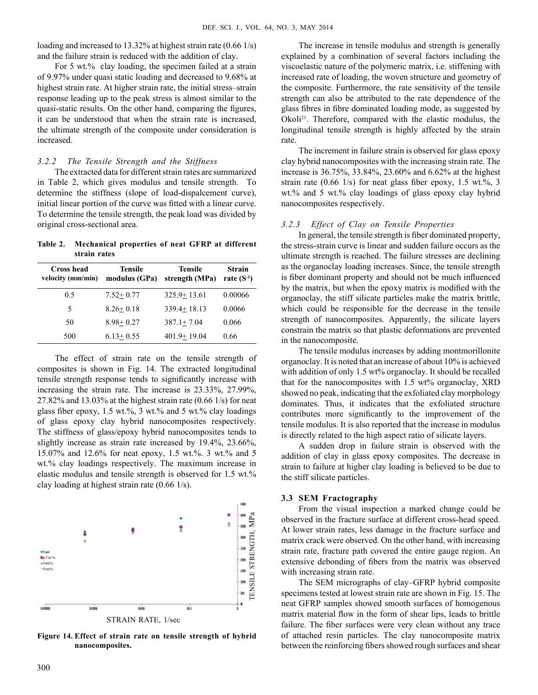loading and increased to 13.32% at highest strain rate (0.66 1/s) and the failure strain is reduced with the addition of clay.

For 5 wt.% clay loading, the specimen failed at a strain of 9.97% under quasi static loading and decreased to 9.68% at highest strain rate. At higher strain rate, the initial stress–strain response leading up to the peak stress is almost similar to the quasi-static results. On the other hand, comparing the figures, it can be understood that when the strain rate is increased, the ultimate strength of the composite under consideration is increased.

### *3.2.2 The Tensile Strength and the Stiffness*

The extracted data for different strain rates are summarized in Table 2, which gives modulus and tensile strength. To determine the stiffness (slope of load-dispalcement curve), initial linear portion of the curve was fitted with a linear curve. To determine the tensile strength, the peak load was divided by original cross-sectional area.

**Table 2. Mechanical properties of neat GFRP at different strain rates**

| Cross head<br>velocity (mm/min) | <b>Tensile</b><br>modulus (GPa) | <b>Tensile</b><br>strength (MPa) | <b>Strain</b><br>rate $(S^{-1})$ |
|---------------------------------|---------------------------------|----------------------------------|----------------------------------|
| 0.5                             | $7.52 + 0.77$                   | $325.9 + 13.61$                  | 0.00066                          |
| 5                               | $8.26 + 0.18$                   | $339.4 + 18.13$                  | 0.0066                           |
| 50                              | $8.98 + 0.27$                   | $387.1 \pm 7.04$                 | 0.066                            |
| 500                             | $6.13 + 0.55$                   | $401.9 + 19.04$                  | 0.66                             |

The effect of strain rate on the tensile strength of composites is shown in Fig. 14. The extracted longitudinal tensile strength response tends to significantly increase with increasing the strain rate. The increase is 23.33%, 27.99%, 27.82% and 13.03% at the highest strain rate (0.66 1/s) for neat glass fiber epoxy, 1.5 wt.%, 3 wt.% and 5 wt.% clay loadings of glass epoxy clay hybrid nanocomposites respectively. The stiffness of glass/epoxy hybrid nanocomposites tends to slightly increase as strain rate increased by 19.4%, 23.66%, 15.07% and 12.6% for neat epoxy, 1.5 wt.%. 3 wt.% and 5 wt.% clay loadings respectively. The maximum increase in elastic modulus and tensile strength is observed for 1.5 wt.% clay loading at highest strain rate (0.66 1/s).



**Figure 14. Effect of strain rate on tensile strength of hybrid nanocomposites.**

The increase in tensile modulus and strength is generally explained by a combination of several factors including the viscoelastic nature of the polymeric matrix, i.e. stiffening with increased rate of loading, the woven structure and geometry of the composite. Furthermore, the rate sensitivity of the tensile strength can also be attributed to the rate dependence of the glass fibres in fibre dominated loading mode, as suggested by Okoli<sup>21</sup>. Therefore, compared with the elastic modulus, the longitudinal tensile strength is highly affected by the strain rate.

The increment in failure strain is observed for glass epoxy clay hybrid nanocomposites with the increasing strain rate. The increase is 36.75%, 33.84%, 23.60% and 6.62% at the highest strain rate  $(0.66 \frac{1}{s})$  for neat glass fiber epoxy, 1.5 wt.%, 3 wt.% and 5 wt.% clay loadings of glass epoxy clay hybrid nanocomposites respectively.

### *3.2.3 Effect of Clay on Tensile Properties*

In general, the tensile strength is fiber dominated property, the stress-strain curve is linear and sudden failure occurs as the ultimate strength is reached. The failure stresses are declining as the organoclay loading increases. Since, the tensile strength is fiber dominant property and should not be much influenced by the matrix, but when the epoxy matrix is modified with the organoclay, the stiff silicate particles make the matrix brittle, which could be responsible for the decrease in the tensile strength of nanocomposites. Apparently, the silicate layers constrain the matrix so that plastic deformations are prevented in the nanocomposite.

The tensile modulus increases by adding montmorillonite organoclay. It is noted that an increase of about 10% is achieved with addition of only 1.5 wt% organoclay. It should be recalled that for the nanocomposites with 1.5 wt% organoclay, XRD showed no peak, indicating that the exfoliated clay morphology dominates. Thus, it indicates that the exfoliated structure contributes more significantly to the improvement of the tensile modulus. It is also reported that the increase in modulus is directly related to the high aspect ratio of silicate layers.

A sudden drop in failure strain is observed with the addition of clay in glass epoxy composites. The decrease in strain to failure at higher clay loading is believed to be due to the stiff silicate particles.

### **3.3 SEM Fractography**

From the visual inspection a marked change could be observed in the fracture surface at different cross-head speed. At lower strain rates, less damage in the fracture surface and matrix crack were observed. On the other hand, with increasing strain rate, fracture path covered the entire gauge region. An extensive debonding of fibers from the matrix was observed with increasing strain rate.

The SEM micrographs of clay–GFRP hybrid composite specimens tested at lowest strain rate are shown in Fig. 15. The neat GFRP samples showed smooth surfaces of homogenous matrix material flow in the form of shear lips, leads to brittle failure. The fiber surfaces were very clean without any trace of attached resin particles. The clay nanocomposite matrix between the reinforcing fibers showed rough surfaces and shear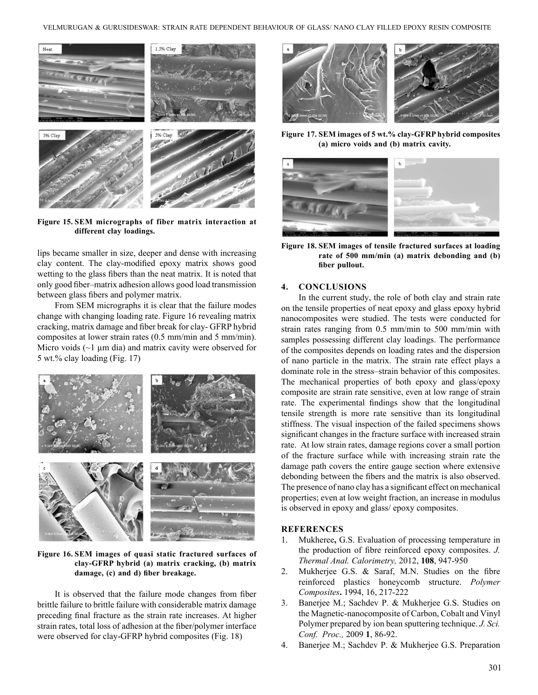

**Figure 15. SEM micrographs of fiber matrix interaction at different clay loadings.**

lips became smaller in size, deeper and dense with increasing clay content. The clay-modified epoxy matrix shows good wetting to the glass fibers than the neat matrix. It is noted that only good fiber–matrix adhesion allows good load transmission between glass fibers and polymer matrix.

From SEM micrographs it is clear that the failure modes change with changing loading rate. Figure 16 revealing matrix cracking, matrix damage and fiber break for clay- GFRP hybrid composites at lower strain rates (0.5 mm/min and 5 mm/min). Micro voids  $(\sim)$  µm dia) and matrix cavity were observed for 5 wt.% clay loading (Fig. 17)



**Figure 16. SEM images of quasi static fractured surfaces of clay-GFRP hybrid (a) matrix cracking, (b) matrix damage, (c) and d) fiber breakage.**

It is observed that the failure mode changes from fiber brittle failure to brittle failure with considerable matrix damage preceding final fracture as the strain rate increases. At higher strain rates, total loss of adhesion at the fiber/polymer interface were observed for clay-GFRP hybrid composites (Fig. 18)



**Figure 17. SEM images of 5 wt.% clay-GFRP hybrid composites (a) micro voids and (b) matrix cavity.**



**Figure 18. SEM images of tensile fractured surfaces at loading rate of 500 mm/min (a) matrix debonding and (b) fiber pullout.**

### **4. Conclusions**

In the current study, the role of both clay and strain rate on the tensile properties of neat epoxy and glass epoxy hybrid nanocomposites were studied. The tests were conducted for strain rates ranging from 0.5 mm/min to 500 mm/min with samples possessing different clay loadings. The performance of the composites depends on loading rates and the dispersion of nano particle in the matrix. The strain rate effect plays a dominate role in the stress–strain behavior of this composites. The mechanical properties of both epoxy and glass/epoxy composite are strain rate sensitive, even at low range of strain rate. The experimental findings show that the longitudinal tensile strength is more rate sensitive than its longitudinal stiffness. The visual inspection of the failed specimens shows significant changes in the fracture surface with increased strain rate. At low strain rates, damage regions cover a small portion of the fracture surface while with increasing strain rate the damage path covers the entire gauge section where extensive debonding between the fibers and the matrix is also observed. The presence of nano clay has a significant effect on mechanical properties; even at low weight fraction, an increase in modulus is observed in epoxy and glass/ epoxy composites.

### **References**

- 1. Mukheree**,** G.S. Evaluation of processing temperature in the production of fibre reinforced epoxy composites. *J. Thermal Anal. Calorimetry,* 2012, **108**, 947-950
- 2. Mukherjee G.S. & Saraf, M.N. Studies on the fibre reinforced plastics honeycomb structure. *Polymer Composites***.** 1994, 16, 217-222
- 3. Banerjee M.; Sachdev P. & Mukherjee G.S. Studies on the Magnetic-nanocomposite of Carbon, Cobalt and Vinyl Polymer prepared by ion bean sputtering technique. *J. Sci. Conf. Proc.,* 2009 **1**, 86-92.
- 4. Banerjee M.; Sachdev P. & Mukherjee G.S. Preparation